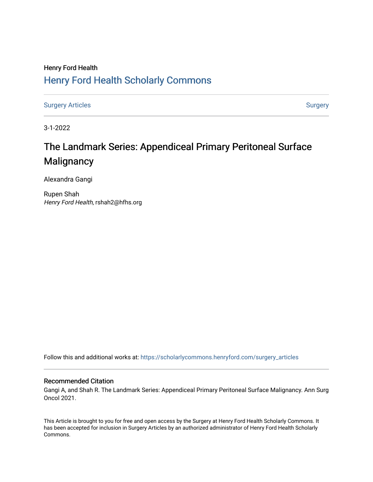# Henry Ford Health [Henry Ford Health Scholarly Commons](https://scholarlycommons.henryford.com/)

[Surgery Articles](https://scholarlycommons.henryford.com/surgery_articles) **[Surgery](https://scholarlycommons.henryford.com/surgery) Articles** Surgery

3-1-2022

# The Landmark Series: Appendiceal Primary Peritoneal Surface **Malignancy**

Alexandra Gangi

Rupen Shah Henry Ford Health, rshah2@hfhs.org

Follow this and additional works at: [https://scholarlycommons.henryford.com/surgery\\_articles](https://scholarlycommons.henryford.com/surgery_articles?utm_source=scholarlycommons.henryford.com%2Fsurgery_articles%2F541&utm_medium=PDF&utm_campaign=PDFCoverPages)

# Recommended Citation

Gangi A, and Shah R. The Landmark Series: Appendiceal Primary Peritoneal Surface Malignancy. Ann Surg Oncol 2021.

This Article is brought to you for free and open access by the Surgery at Henry Ford Health Scholarly Commons. It has been accepted for inclusion in Surgery Articles by an authorized administrator of Henry Ford Health Scholarly Commons.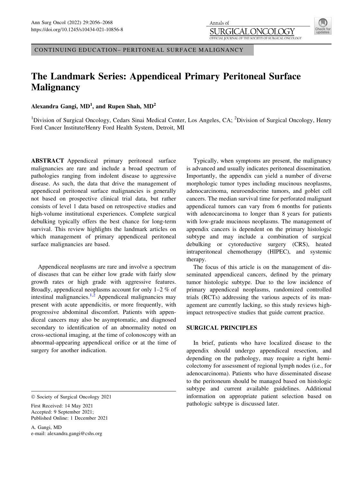

CONTINUING EDUCATION– PERITONEAL SURFACE MALIGNANCY

# The Landmark Series: Appendiceal Primary Peritoneal Surface **Malignancy**

Alexandra Gangi,  $MD<sup>1</sup>$ , and Rupen Shah,  $MD<sup>2</sup>$ 

<sup>1</sup>Division of Surgical Oncology, Cedars Sinai Medical Center, Los Angeles, CA; <sup>2</sup>Division of Surgical Oncology, Henry Ford Cancer Institute/Henry Ford Health System, Detroit, MI

ABSTRACT Appendiceal primary peritoneal surface malignancies are rare and include a broad spectrum of pathologies ranging from indolent disease to aggressive disease. As such, the data that drive the management of appendiceal peritoneal surface malignancies is generally not based on prospective clinical trial data, but rather consists of level 1 data based on retrospective studies and high-volume institutional experiences. Complete surgical debulking typically offers the best chance for long-term survival. This review highlights the landmark articles on which management of primary appendiceal peritoneal surface malignancies are based.

Appendiceal neoplasms are rare and involve a spectrum of diseases that can be either low grade with fairly slow growth rates or high grade with aggressive features. Broadly, appendiceal neoplasms account for only 1–2 % of intestinal malignancies.<sup>[1,2](#page-11-0)</sup> Appendiceal malignancies may present with acute appendicitis, or more frequently, with progressive abdominal discomfort. Patients with appendiceal cancers may also be asymptomatic, and diagnosed secondary to identification of an abnormality noted on cross-sectional imaging, at the time of colonoscopy with an abnormal-appearing appendiceal orifice or at the time of surgery for another indication.

A. Gangi, MD e-mail: alexandra.gangi@cshs.org

Typically, when symptoms are present, the malignancy is advanced and usually indicates peritoneal dissemination. Importantly, the appendix can yield a number of diverse morphologic tumor types including mucinous neoplasms, adenocarcinoma, neuroendocrine tumors, and goblet cell cancers. The median survival time for perforated malignant appendiceal tumors can vary from 6 months for patients with adenocarcinoma to longer than 8 years for patients with low-grade mucinous neoplasms. The management of appendix cancers is dependent on the primary histologic subtype and may include a combination of surgical debulking or cytoreductive surgery (CRS), heated intraperitoneal chemotherapy (HIPEC), and systemic therapy.

The focus of this article is on the management of disseminated appendiceal cancers, defined by the primary tumor histologic subtype. Due to the low incidence of primary appendiceal neoplasms, randomized controlled trials (RCTs) addressing the various aspects of its management are currently lacking, so this study reviews highimpact retrospective studies that guide current practice.

#### SURGICAL PRINCIPLES

In brief, patients who have localized disease to the appendix should undergo appendiceal resection, and depending on the pathology, may require a right hemicolectomy for assessment of regional lymph nodes (i.e., for adenocarcinoma). Patients who have disseminated disease to the peritoneum should be managed based on histologic subtype and current available guidelines. Additional information on appropriate patient selection based on pathologic subtype is discussed later.

 $©$  Society of Surgical Oncology 2021

First Received: 14 May 2021 Accepted: 9 September 2021; Published Online: 1 December 2021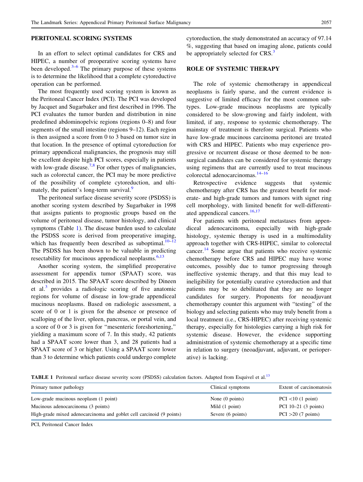### PERITONEAL SCORING SYSTEMS

In an effort to select optimal candidates for CRS and HIPEC, a number of preoperative scoring systems have been developed. $3-6$  The primary purpose of these systems is to determine the likelihood that a complete cytoreductive operation can be performed.

The most frequently used scoring system is known as the Peritoneal Cancer Index (PCI). The PCI was developed by Jacquet and Sugarbaker and first described in 1996. The PCI evaluates the tumor burden and distribution in nine predefined abdominopelvic regions (regions 0–8) and four segments of the small intestine (regions 9–12). Each region is then assigned a score from 0 to 3 based on tumor size in that location. In the presence of optimal cytoreduction for primary appendiceal malignancies, the prognosis may still be excellent despite high PCI scores, especially in patients with low-grade disease.<sup>[7](#page-11-0),[8](#page-11-0)</sup> For other types of malignancies, such as colorectal cancer, the PCI may be more predictive of the possibility of complete cytoreduction, and ulti-mately, the patient's long-term survival.<sup>[9](#page-11-0)</sup>

The peritoneal surface disease severity score (PSDSS) is another scoring system described by Sugarbaker in 1998 that assigns patients to prognostic groups based on the volume of peritoneal disease, tumor histology, and clinical symptoms (Table 1). The disease burden used to calculate the PSDSS score is derived from preoperative imaging, which has frequently been described as suboptimal. $10-12$ The PSDSS has been shown to be valuable in predicting resectability for mucinous appendiceal neoplasms. $6,13$ 

Another scoring system, the simplified preoperative assessment for appendix tumor (SPAAT) score, was described in 2015. The SPAAT score described by Dineen et al.<sup>[3](#page-11-0)</sup> provides a radiologic scoring of five anatomic regions for volume of disease in low-grade appendiceal mucinous neoplasms. Based on radiologic assessment, a score of 0 or 1 is given for the absence or presence of scalloping of the liver, spleen, pancreas, or portal vein, and a score of 0 or 3 is given for ''mesenteric foreshortening,'' yielding a maximum score of 7. In this study, 42 patients had a SPAAT score lower than 3, and 28 patients had a SPAAT score of 3 or higher. Using a SPAAT score lower than 3 to determine which patients could undergo complete cytoreduction, the study demonstrated an accuracy of 97.14 %, suggesting that based on imaging alone, patients could be appropriately selected for CRS.<sup>[3](#page-11-0)</sup>

#### ROLE OF SYSTEMIC THERAPY

The role of systemic chemotherapy in appendiceal neoplasms is fairly sparse, and the current evidence is suggestive of limited efficacy for the most common subtypes. Low-grade mucinous neoplasms are typically considered to be slow-growing and fairly indolent, with limited, if any, response to systemic chemotherapy. The mainstay of treatment is therefore surgical. Patients who have low-grade mucinous carcinoma peritonei are treated with CRS and HIPEC. Patients who may experience progressive or recurrent disease or those deemed to be nonsurgical candidates can be considered for systemic therapy using regimens that are currently used to treat mucinous colorectal adenocarcinomas[.14–16](#page-11-0)

Retrospective evidence suggests that systemic chemotherapy after CRS has the greatest benefit for moderate- and high-grade tumors and tumors with signet ring cell morphology, with limited benefit for well-differenti-ated appendiceal cancers.<sup>[16,17](#page-11-0)</sup>

For patients with peritoneal metastases from appendiceal adenocarcinoma, especially with high-grade histology, systemic therapy is used in a multimodality approach together with CRS-HIPEC, similar to colorectal cancer.<sup>[14](#page-11-0)</sup> Some argue that patients who receive systemic chemotherapy before CRS and HIPEC may have worse outcomes, possibly due to tumor progressing through ineffective systemic therapy, and that this may lead to ineligibility for potentially curative cytoreduction and that patients may be so debilitated that they are no longer candidates for surgery. Proponents for neoadjuvant chemotherapy counter this argument with ''testing'' of the biology and selecting patients who may truly benefit from a local treatment (i.e., CRS-HIPEC) after receiving systemic therapy, especially for histologies carrying a high risk for systemic disease. However, the evidence supporting administration of systemic chemotherapy at a specific time in relation to surgery (neoadjuvant, adjuvant, or perioperative) is lacking.

TABLE 1 Peritoneal surface disease severity score (PSDSS) calculation factors. Adapted from Esquivel et al.<sup>[13](#page-11-0)</sup>

| Primary tumor pathology                                              | Clinical symptoms         | Extent of carcinomatosis |
|----------------------------------------------------------------------|---------------------------|--------------------------|
| Low-grade mucinous neoplasm (1 point)                                | None $(0 \text{ points})$ | $PCI < 10$ (1 point)     |
| Mucinous adenocarcinoma (3 points)                                   | Mild (1 point)            | PCI $10-21$ (3 points)   |
| High-grade mixed adenocarcinoma and goblet cell carcinoid (9 points) | Severe (6 points)         | $PCI > 20$ (7 points)    |

PCI, Peritoneal Cancer Index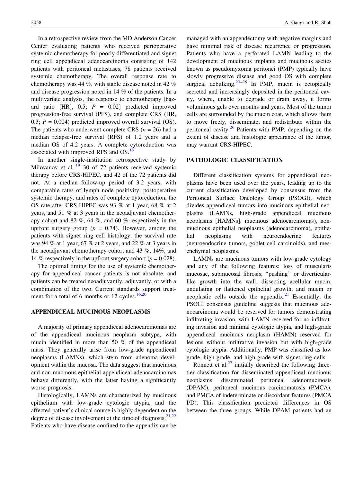In a retrospective review from the MD Anderson Cancer Center evaluating patients who received perioperative systemic chemotherapy for poorly differentiated and signet ring cell appendiceal adenocarcinoma consisting of 142 patients with peritoneal metastases, 78 patients received systemic chemotherapy. The overall response rate to chemotherapy was 44 %, with stable disease noted in 42 % and disease progression noted in 14 % of the patients. In a multivariate analysis, the response to chemotherapy (hazard ratio [HR],  $0.5$ ;  $P = 0.02$ ] predicted improved progression-free survival (PFS), and complete CRS (HR, 0.3;  $P = 0.004$ ) predicted improved overall survival (OS). The patients who underwent complete CRS ( $n = 26$ ) had a median relapse-free survival (RFS) of 1.2 years and a median OS of 4.2 years. A complete cytoreduction was associated with improved RFS and OS.<sup>[18](#page-11-0)</sup>

In another single-institution retrospective study by Milovanov et al., $^{19}$  $^{19}$  $^{19}$  30 of 72 patients received systemic therapy before CRS-HIPEC, and 42 of the 72 patients did not. At a median follow-up period of 3.2 years, with comparable rates of lymph node positivity, postoperative systemic therapy, and rates of complete cytoreduction, the OS rate after CRS-HIPEC was 93 % at 1 year, 68 % at 2 years, and 51 % at 3 years in the neoadjuvant chemotherapy cohort and 82 %, 64 %, and 60 % respectively in the upfront surgery group ( $p = 0.74$ ). However, among the patients with signet ring cell histology, the survival rate was 94 % at 1 year, 67 % at 2 years, and 22 % at 3 years in the neoadjuvant chemotherapy cohort and 43 %, 14%, and 14 % respectively in the upfront surgery cohort ( $p = 0.028$ ).

The optimal timing for the use of systemic chemotherapy for appendiceal cancer patients is not absolute, and patients can be treated neoadjuvantly, adjuvantly, or with a combination of the two. Current standards support treatment for a total of 6 months or 12 cycles. $16,20$  $16,20$  $16,20$ 

#### APPENDICEAL MUCINOUS NEOPLASMS

A majority of primary appendiceal adenocarcinomas are of the appendiceal mucinous neoplasm subtype, with mucin identified in more than 50 % of the appendiceal mass. They generally arise from low-grade appendiceal neoplasms (LAMNs), which stem from adenoma development within the mucosa. The data suggest that mucinous and non-mucinous epithelial appendiceal adenocarcinomas behave differently, with the latter having a significantly worse prognosis.

Histologically, LAMNs are characterized by mucinous epithelium with low-grade cytologic atypia, and the affected patient's clinical course is highly dependent on the degree of disease involvement at the time of diagnosis. $21,22$ Patients who have disease confined to the appendix can be managed with an appendectomy with negative margins and have minimal risk of disease recurrence or progression. Patients who have a perforated LAMN leading to the development of mucinous implants and mucinous ascites known as pseudomyxoma peritonei (PMP) typically have slowly progressive disease and good OS with complete surgical debulking. $23-25$  In PMP, mucin is ectopically secreted and increasingly deposited in the peritoneal cavity, where, unable to degrade or drain away, it forms voluminous gels over months and years. Most of the tumor cells are surrounded by the mucin coat, which allows them to move freely, disseminate, and redistribute within the peritoneal cavity.<sup>[26](#page-11-0)</sup> Patients with PMP, depending on the extent of disease and histologic appearance of the tumor, may warrant CRS-HIPEC.

#### PATHOLOGIC CLASSIFICATION

Different classification systems for appendiceal neoplasms have been used over the years, leading up to the current classification developed by consensus from the Peritoneal Surface Oncology Group (PSOGI), which divides appendiceal tumors into mucinous epithelial neoplasms (LAMNs, high-grade appendiceal mucinous neoplasms [HAMNs], mucinous adenocarcinomas), nonmucinous epithelial neoplasms (adenocarcinoma), epithelial neoplasms with neuroendocrine features (neuroendocrine tumors, goblet cell carcinoids), and mesenchymal neoplasms.

LAMNs are mucinous tumors with low-grade cytology and any of the following features: loss of muscularis mucosae, submucosal fibrosis, ''pushing'' or diverticularlike growth into the wall, dissecting acellular mucin, undulating or flattened epithelial growth, and mucin or neoplastic cells outside the appendix. $2<sup>1</sup>$  Essentially, the PSOGI consensus guideline suggests that mucinous adenocarcinoma would be reserved for tumors demonstrating infiltrating invasion, with LAMN reserved for no infiltrating invasion and minimal cytologic atypia, and high-grade appendiceal mucinous neoplasm (HAMN) reserved for lesions without infiltrative invasion but with high-grade cytologic atypia. Additionally, PMP was classified as low grade, high grade, and high grade with signet ring cells.

Ronnett et al. $^{27}$  $^{27}$  $^{27}$  initially described the following threetier classification for disseminated appendiceal mucinous neoplasms: disseminated peritoneal adenomucinosis (DPAM), peritoneal mucinous carcinomatosis (PMCA), and PMCA of indeterminate or discordant features (PMCA I/D). This classification predicted differences in OS between the three groups. While DPAM patients had an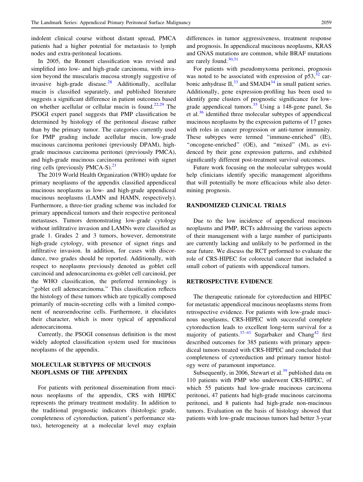indolent clinical course without distant spread, PMCA patients had a higher potential for metastasis to lymph nodes and extra-peritoneal locations.

In 2005, the Ronnett classification was revised and simplified into low- and high-grade carcinoma, with invasion beyond the muscularis mucosa strongly suggestive of invasive high-grade disease. $28$  Additionally, acellular mucin is classified separately, and published literature suggests a significant difference in patient outcomes based on whether acellular or cellular mucin is found.<sup>[22](#page-11-0),[29](#page-12-0)</sup> The PSOGI expert panel suggests that PMP classification be determined by histology of the peritoneal disease rather than by the primary tumor. The categories currently used for PMP grading include acellular mucin, low-grade mucinous carcinoma peritonei (previously DPAM), highgrade mucinous carcinoma peritonei (previously PMCA), and high-grade mucinous carcinoma peritonei with signet ring cells (previously PMCA-S). $^{21}$  $^{21}$  $^{21}$ 

The 2019 World Health Organization (WHO) update for primary neoplasms of the appendix classified appendiceal mucinous neoplasms as low- and high-grade appendiceal mucinous neoplasms (LAMN and HAMN, respectively). Furthermore, a three-tier grading scheme was included for primary appendiceal tumors and their respective peritoneal metastases. Tumors demonstrating low-grade cytology without infiltrative invasion and LAMNs were classified as grade 1. Grades 2 and 3 tumors, however, demonstrate high-grade cytology, with presence of signet rings and infiltrative invasion. In addition, for cases with discordance, two grades should be reported. Additionally, with respect to neoplasms previously denoted as goblet cell carcinoid and adenocarcinoma ex-goblet cell carcinoid, per the WHO classification, the preferred terminology is ''goblet cell adenocarcinoma.'' This classification reflects the histology of these tumors which are typically composed primarily of mucin-secreting cells with a limited component of neuroendocrine cells. Furthermore, it elucidates their character, which is more typical of appendiceal adenocarcinoma.

Currently, the PSOGI consensus definition is the most widely adopted classification system used for mucinous neoplasms of the appendix.

## MOLECULAR SUBTYPES OF MUCINOUS NEOPLASMS OF THE APPENDIX

For patients with peritoneal dissemination from mucinous neoplasms of the appendix, CRS with HIPEC represents the primary treatment modality. In addition to the traditional prognostic indicators (histologic grade, completeness of cytoreduction, patient's performance status), heterogeneity at a molecular level may explain differences in tumor aggressiveness, treatment response and prognosis. In appendiceal mucinous neoplasms, KRAS and GNAS mutations are common, while BRAF mutations are rarely found.<sup>[30,31](#page-12-0)</sup>

For patients with pseudomyxoma peritonei, prognosis was noted to be associated with expression of  $p53$ ,  $\frac{32}{32}$  $\frac{32}{32}$  $\frac{32}{32}$  carbonic anhydrase  $II$ ,<sup>[33](#page-12-0)</sup> and SMAD4<sup>[34](#page-12-0)</sup> in small patient series. Additionally, gene expression-profiling has been used to identify gene clusters of prognostic significance for lowgrade appendiceal tumors. $35$  Using a 148-gene panel, Su et al.[36](#page-12-0) identified three molecular subtypes of appendiceal mucinous neoplasms by the expression patterns of 17 genes with roles in cancer progression or anti-tumor immunity. These subtypes were termed "immune-enriched" (IE), "oncogene-enriched" (OE), and "mixed" (M), as evidenced by their gene expression patterns, and exhibited significantly different post-treatment survival outcomes.

Future work focusing on the molecular subtypes would help clinicians identify specific management algorithms that will potentially be more efficacious while also determining prognosis.

#### RANDOMIZED CLINICAL TRIALS

Due to the low incidence of appendiceal mucinous neoplasms and PMP, RCTs addressing the various aspects of their management with a large number of participants are currently lacking and unlikely to be performed in the near future. We discuss the RCT performed to evaluate the role of CRS-HIPEC for colorectal cancer that included a small cohort of patients with appendiceal tumors.

#### RETROSPECTIVE EVIDENCE

The therapeutic rationale for cytoreduction and HIPEC for metastatic appendiceal mucinous neoplasms stems from retrospective evidence. For patients with low-grade mucinous neoplasms, CRS-HIPEC with successful complete cytoreduction leads to excellent long-term survival for a majority of patients.<sup>[37](#page-12-0)–[41](#page-12-0)</sup> Sugarbaker and Chang<sup>[42](#page-12-0)</sup> first described outcomes for 385 patients with primary appendiceal tumors treated with CRS-HIPEC and concluded that completeness of cytoreduction and primary tumor histology were of paramount importance.

Subsequently, in 2006, Stewart et al. $39$  published data on 110 patients with PMP who underwent CRS-HIPEC, of which 55 patients had low-grade mucinous carcinoma peritonei, 47 patients had high-grade mucinous carcinoma peritonei, and 8 patients had high-grade non-mucinous tumors. Evaluation on the basis of histology showed that patients with low-grade mucinous tumors had better 3-year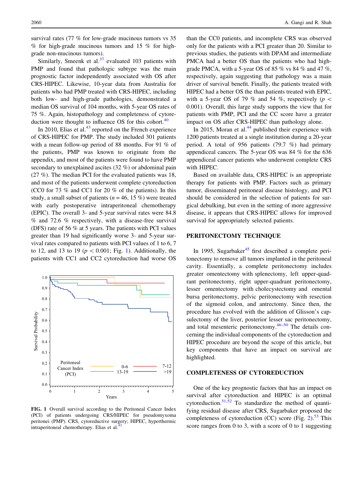survival rates (77 % for low-grade mucinous tumors vs 35  $%$  for high-grade mucinous tumors and 15  $%$  for highgrade non-mucinous tumors).

Similarly, Smeenk et al. $37$  evaluated 103 patients with PMP and found that pathologic subtype was the main prognostic factor independently associated with OS after CRS-HIPEC. Likewise, 10-year data from Australia for patients who had PMP treated with CRS-HIPEC, including both low- and high-grade pathologies, demonstrated a median OS survival of 104 months, with 5-year OS rates of 75 %. Again, histopathology and completeness of cytoreduction were thought to influence OS for this cohort. $40$ 

In 2010, Elias et al. $43$  reported on the French experience of CRS-HIPEC for PMP. The study included 301 patients with a mean follow-up period of 88 months. For 91 % of the patients, PMP was known to originate from the appendix, and most of the patients were found to have PMP secondary to unexplained ascites (32 %) or abdominal pain (27 %). The median PCI for the evaluated patients was 18, and most of the patients underwent complete cytoreduction (CC0 for 73 % and CC1 for 20 % of the patients). In this study, a small subset of patients ( $n = 46, 15\%$ ) were treated with early postoperative intraperitoneal chemotherapy (EPIC). The overall 3- and 5-year survival rates were 84.8 % and 72.6 % respectively, with a disease-free survival (DFS) rate of 56 % at 5 years. The patients with PCI values greater than 19 had significantly worse 3- and 5-year survival rates compared to patients with PCI values of 1 to 6, 7 to 12, and 13 to 19 ( $p \lt 0.001$ ; Fig. 1). Additionally, the patients with CC1 and CC2 cytoreduction had worse OS



FIG. 1 Overall survival according to the Peritoneal Cancer Index (PCI) of patients undergoing CRS/HIPEC for pseudomyxoma peritonei (PMP). CRS, cytoreductive surgery; HIPEC, hyperthermic intraperitoneal chemotherapy. Elias et al.<sup>4</sup>

than the CC0 patients, and incomplete CRS was observed only for the patients with a PCI greater than 20. Similar to previous studies, the patients with DPAM and intermediate PMCA had a better OS than the patients who had highgrade PMCA, with a 5-year OS of 85  $\%$  vs 84  $\%$  and 47  $\%$ , respectively, again suggesting that pathology was a main driver of survival benefit. Finally, the patients treated with HIPEC had a better OS the than patients treated with EPIC, with a 5-year OS of 79 % and 54 %, respectively ( $p \leq$ 0.001). Overall, this large study supports the view that for patients with PMP, PCI and the CC score have a greater impact on OS after CRS-HIPEC than pathology alone.

In 2015, Moran et al. $44$  published their experience with 1200 patients treated at a single institution during a 20-year period. A total of 956 patients (79.7 %) had primary appendiceal cancers. The 5-year OS was 84 % for the 636 appendiceal cancer patients who underwent complete CRS with HIPEC.

Based on available data, CRS-HIPEC is an appropriate therapy for patients with PMP. Factors such as primary tumor, disseminated peritoneal disease histology, and PCI should be considered in the selection of patients for surgical debulking, but even in the setting of more aggressive disease, it appears that CRS-HIPEC allows for improved survival for appropriately selected patients.

#### PERITONECTOMY TECHNIQUE

In 1995, Sugarbaker $45$  first described a complete peritonectomy to remove all tumors implanted in the peritoneal cavity. Essentially, a complete peritonectomy includes greater omentectomy with splenectomy, left upper-quadrant peritonectomy, right upper-quadrant peritonectomy, lesser omentectomy with cholecystectomy and omental bursa peritonectomy, pelvic peritonectomy with resection of the sigmoid colon, and antrectomy. Since then, the procedure has evolved with the addition of Glisson's capsulectomy of the liver, posterior lesser sac peritonectomy, and total mesenteric peritonectomy. $46-50$  The details concerning the individual components of the cytoreduction and HIPEC procedure are beyond the scope of this article, but key components that have an impact on survival are highlighted.

#### COMPLETENESS OF CYTOREDUCTION

One of the key prognostic factors that has an impact on survival after cytoreduction and HIPEC is an optimal cytoreduction.<sup>[51,52](#page-12-0)</sup> To standardize the method of quantifying residual disease after CRS, Sugarbaker proposed the completeness of cytoreduction (CC) score (Fig. [2\)](#page-6-0). $53$  This score ranges from 0 to 3, with a score of 0 to 1 suggesting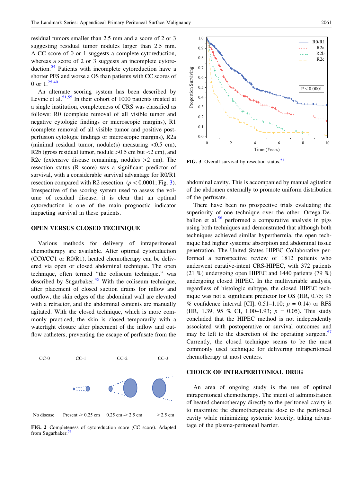<span id="page-6-0"></span>residual tumors smaller than 2.5 mm and a score of 2 or 3 suggesting residual tumor nodules larger than 2.5 mm. A CC score of 0 or 1 suggests a complete cytoreduction, whereas a score of 2 or 3 suggests an incomplete cytoreduction.[54](#page-12-0) Patients with incomplete cytoreduction have a shorter PFS and worse a OS than patients with CC scores of 0 or  $1^{25,40}$  $1^{25,40}$  $1^{25,40}$  $1^{25,40}$ 

An alternate scoring system has been described by Levine et al. $51,55$  In their cohort of 1000 patients treated at a single institution, completeness of CRS was classified as follows: R0 (complete removal of all visible tumor and negative cytologic findings or microscopic margins), R1 (complete removal of all visible tumor and positive postperfusion cytologic findings or microscopic margins), R2a (minimal residual tumor, nodule(s) measuring  $\langle 0.5 \text{ cm} \rangle$ , R2b (gross residual tumor, nodule  $>0.5$  cm but  $<$ 2 cm), and R2c (extensive disease remaining, nodules  $>2$  cm). The resection status (R score) was a significant predictor of survival, with a considerable survival advantage for R0/R1 resection compared with R2 resection. ( $p < 0.0001$ ; Fig. 3). Irrespective of the scoring system used to assess the volume of residual disease, it is clear that an optimal cytoreduction is one of the main prognostic indicator impacting survival in these patients.

#### OPEN VERSUS CLOSED TECHNIQUE

Various methods for delivery of intraperitoneal chemotherapy are available. After optimal cytoreduction (CC0/CC1 or R0/R1), heated chemotherapy can be delivered via open or closed abdominal technique. The open technique, often termed ''the coliseum technique,'' was described by Sugarbaker. $45$  With the coliseum technique, after placement of closed suction drains for inflow and outflow, the skin edges of the abdominal wall are elevated with a retractor, and the abdominal contents are manually agitated. With the closed technique, which is more commonly practiced, the skin is closed temporarily with a watertight closure after placement of the inflow and outflow catheters, preventing the escape of perfusate from the



CC-0 CC-1 CC-2 CC-3

FIG. 2 Completeness of cytoreduction score (CC score). Adapted from Sugarbaker.<sup>[53](#page-12-0)</sup>



FIG. 3 Overall survival by resection status.<sup>[51](#page-12-0)</sup>

abdominal cavity. This is accompanied by manual agitation of the abdomen externally to promote uniform distribution of the perfusate.

There have been no prospective trials evaluating the superiority of one technique over the other. Ortega-De-ballon et al.<sup>[56](#page-12-0)</sup> performed a comparative analysis in pigs using both techniques and demonstrated that although both techniques achieved similar hyperthermia, the open technique had higher systemic absorption and abdominal tissue penetration. The United States HIPEC Collaborative performed a retrospective review of 1812 patients who underwent curative-intent CRS-HIPEC, with 372 patients (21 %) undergoing open HIPEC and 1440 patients (79 %) undergoing closed HIPEC. In the multivariable analysis, regardless of histologic subtype, the closed HIPEC technique was not a significant predictor for OS (HR, 0.75; 95 % confidence interval [CI], 0.51–1.10;  $p = 0.14$ ) or RFS (HR, 1.39; 95 % CI, 1.00–1.93;  $p = 0.05$ ). This study concluded that the HIPEC method is not independently associated with postoperative or survival outcomes and may be left to the discretion of the operating surgeon.<sup>[57](#page-12-0)</sup> Currently, the closed technique seems to be the most commonly used technique for delivering intraperitoneal chemotherapy at most centers.

#### CHOICE OF INTRAPERITONEAL DRUG

An area of ongoing study is the use of optimal intraperitoneal chemotherapy. The intent of administration of heated chemotherapy directly to the peritoneal cavity is to maximize the chemotherapeutic dose to the peritoneal cavity while minimizing systemic toxicity, taking advantage of the plasma-peritoneal barrier.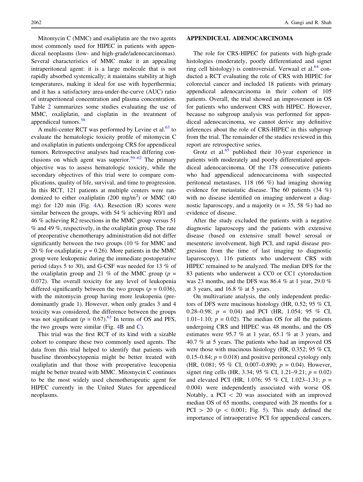Mitomycin C (MMC) and oxaliplatin are the two agents most commonly used for HIPEC in patients with appendiceal neoplasms (low- and high-grade/adenocarcinomas). Several characteristics of MMC make it an appealing intraperitoneal agent: it is a large molecule that is not rapidly absorbed systemically; it maintains stability at high temperatures, making it ideal for use with hyperthermia; and it has a satisfactory area-under-the-curve (AUC) ratio of intraperitoneal concentration and plasma concentration. Table [2](#page-8-0) summarizes some studies evaluating the use of MMC, oxaliplatin, and cisplatin in the treatment of appendiceal tumors.<sup>[58](#page-12-0)</sup>

A multi-center RCT was performed by Levine et al. $^{63}$  $^{63}$  $^{63}$  to evaluate the hematologic toxicity profile of mitomycin C and oxaliplatin in patients undergoing CRS for appendiceal tumors. Retrospective analyses had reached differing con-clusions on which agent was superior.<sup>[59–62](#page-12-0)</sup> The primary objective was to assess hematologic toxicity, while the secondary objectives of this trial were to compare complications, quality of life, survival, and time to progression. In this RCT, 121 patients at multiple centers were randomized to either oxaliplatin (200 mg/m<sup>2</sup>) or MMC (40 mg) for 120 min (Fig. [4A](#page-9-0)). Resection (R) scores were similar between the groups, with 54 % achieving R0/1 and 46 % achieving R2 resections in the MMC group versus 51 % and 49 %, respectively, in the oxaliplatin group. The rate of preoperative chemotherapy administration did not differ significantly between the two groups (10 % for MMC and 20 % for oxaliplatin;  $p = 0.26$ ). More patients in the MMC group were leukopenic during the immediate postoperative period (days 5 to 30), and G-CSF was needed for 13 % of the oxaliplatin group and 21 % of the MMC group ( $p =$ 0.072). The overall toxicity for any level of leukopenia differed significantly between the two groups ( $p = 0.036$ ), with the mitomycin group having more leukopenia (predominantly grade 1). However, when only grades 3 and 4 toxicity was considered, the difference between the groups was not significant ( $p = 0.67$ ).<sup>[63](#page-12-0)</sup> In terms of OS and PFS, the two groups were similar (Fig.  $4B$  and [C](#page-9-0)).

This trial was the first RCT of its kind with a sizable cohort to compare these two commonly used agents. The data from this trial helped to identify that patients with baseline thrombocytopenia might be better treated with oxaliplatin and that those with preoperative leucopenia might be better treated with MMC. Mitomycin C continues to be the most widely used chemotherapeutic agent for HIPEC currently in the United States for appendiceal neoplasms.

#### APPENDICEAL ADENOCARCINOMA

The role for CRS-HIPEC for patients with high-grade histologies (moderately, poorly differentiated and signet ring cell histology) is controversial. Verwaal et al. $64$  conducted a RCT evaluating the role of CRS with HIPEC for colorectal cancer and included 18 patients with primary appendiceal adenocarcinoma in their cohort of 105 patients. Overall, the trial showed an improvement in OS for patients who underwent CRS with HIPEC. However, because no subgroup analysis was performed for appendiceal adenocarcinoma, we cannot derive any definitive inferences about the role of CRS-HIPEC in this subgroup from the trial. The remainder of the studies reviewed in this report are retrospective series.

Grotz et al. $65$  published their 10-year experience in patients with moderately and poorly differentiated appendiceal adenocarcinoma. Of the 178 consecutive patients who had appendiceal adenocarcinoma with suspected peritoneal metastases, 118 (66 %) had imaging showing evidence for metastatic disease. The 60 patients (34 %) with no disease identified on imaging underwent a diagnostic laparoscopy, and a majority ( $n = 35, 58\%$ ) had no evidence of disease.

After the study excluded the patients with a negative diagnostic laparoscopy and the patients with extensive disease (based on extensive small bowel serosal or mesenteric involvement, high PCI, and rapid disease progression from the time of last imaging to diagnostic laparoscopy), 116 patients who underwent CRS with HIPEC remained to be analyzed. The median DFS for the 83 patients who underwent a CC0 or CC1 cytoreduction was 23 months, and the DFS was 86.4 % at 1 year, 29.0 % at 3 years, and 16.8 % at 5 years.

On multivariate analysis, the only independent predictors of DFS were mucinous histology (HR, 0.52; 95 % CI, 0.28–0.98;  $p = 0.04$ ) and PCI (HR, 1.054; 95 % CI, 1.01–1.10;  $p = 0.02$ ). The median OS for all the patients undergoing CRS and HIPEC was 48 months, and the OS estimates were 95.7 % at 1 year, 65.1 % at 3 years, and 40.7 % at 5 years. The patients who had an improved OS were those with mucinous histology (HR, 0.352; 95 % CI, 0.15–0.84;  $p = 0.018$ ) and positive peritoneal cytology only (HR, 0.081; 95 % CI, 0.007–0.890;  $p = 0.04$ ). However, signet ring cells (HR, 3.34; 95 % CI, 1.21–9.21;  $p = 0.02$ ) and elevated PCI (HR, 1.076; 95 % CI, 1.023–1.31;  $p =$ 0.004) were independently associated with worse OS. Notably, a PCI  $\lt$  20 was associated with an improved median OS of 65 months, compared with 28 months for a PCI  $> 20$  ( $p < 0.001$ ; Fig. [5](#page-9-0)). This study defined the importance of intraoperative PCI for appendiceal cancers,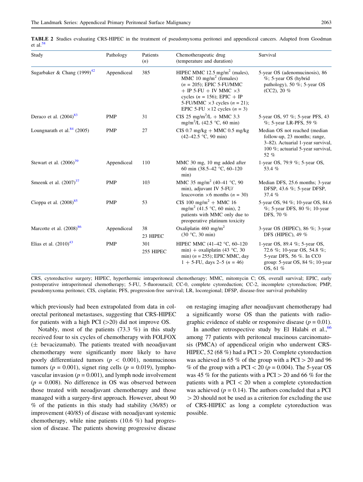| Study                            | Pathology   | Patients<br>(n)  | Chemotherapeutic drug<br>(temperature and duration)                                                                                                                                                                                                                          | Survival                                                                                                                                        |
|----------------------------------|-------------|------------------|------------------------------------------------------------------------------------------------------------------------------------------------------------------------------------------------------------------------------------------------------------------------------|-------------------------------------------------------------------------------------------------------------------------------------------------|
| Sugarbaker & Chang $(1999)^{42}$ | Appendiceal | 385              | HIPEC MMC 12.5 mg/m <sup>2</sup> (males),<br>MMC 10 mg/m <sup>2</sup> (females)<br>$(n = 205)$ ; EPIC 5-FU/MMC<br>$+$ IP 5-FU + IV MMC $\times$ 3<br>cycles ( $n = 156$ ); EPIC + IP<br>5-FU/MMC $\times$ 3 cycles (n = 21);<br>EPIC 5-FU $\times$ 12 cycles ( <i>n</i> = 3) | 5-year OS (adenomucinosis), 86<br>%; 5-year OS (hybrid<br>pathology), 50 %; 5-year OS<br>$(CC2)$ , 20 %                                         |
| Deraco et al. $(2004)^{83}$      | <b>PMP</b>  | 31               | CIS 25 mg/m <sup>2</sup> /L + MMC 3.3<br>mg/m <sup>2</sup> /L (42.5 °C, 60 min)                                                                                                                                                                                              | 5-year OS, 97 %; 5-year PFS, 43<br>$\%$ ; 5-year LR-PFS, 59 $\%$                                                                                |
| Loungnarath et al. $84$ (2005)   | <b>PMP</b>  | 27               | $CIS$ 0.7 mg/kg + MMC 0.5 mg/kg<br>$(42-42.5 \degree C, 90 \text{ min})$                                                                                                                                                                                                     | Median OS not reached (median<br>follow-up, 23 months; range,<br>3-82). Actuarial 1-year survival,<br>100 %; actuarial 5-year survival,<br>52 % |
| Stewart et al. $(2006)^{39}$     | Appendiceal | 110              | MMC 30 mg, 10 mg added after<br>60 min $(38.5-42 \degree C, 60-120)$<br>min)                                                                                                                                                                                                 | 1-year OS, 79.9 %; 5-year OS,<br>53.4 %                                                                                                         |
| Smeenk et al. $(2007)^{37}$      | <b>PMP</b>  | 103              | MMC 35 mg/m <sup>2</sup> (40-41 °C, 90<br>min), adjuvant IV 5-FU/<br>leucovorin $\times$ 6 months ( <i>n</i> = 30)                                                                                                                                                           | Median DFS, 25.6 months; 3-year<br>DFSP, 43.6 %; 5-year DFSP,<br>37.4 $%$                                                                       |
| Cioppa et al. $(2008)^{85}$      | <b>PMP</b>  | 53               | CIS 100 mg/m <sup>2</sup> + MMC 16<br>mg/m <sup>2</sup> (41.5 °C, 60 min), 2<br>patients with MMC only due to<br>preoperative platinum toxicity                                                                                                                              | 5-year OS, 94 %; 10-year OS, 84.6<br>%; 5-year DFS, 80 %; 10-year<br>DFS, 70 %                                                                  |
| Marcotte et al. $(2008)^{86}$    | Appendiceal | 38<br>23 HIPEC   | Oxaliplatin 460 mg/m <sup>2</sup><br>(30 °C, 30 min)                                                                                                                                                                                                                         | 3-year OS (HIPEC), 86 $\%$ ; 3-year<br>DFS (HIPEC), 49 %                                                                                        |
| Elias et al. $(2010)^{43}$       | <b>PMP</b>  | 301<br>255 HIPEC | HIPEC MMC (41-42 °C, 60-120<br>min) + oxaliplatin (43 °C, 30<br>min) $(n = 255)$ ; EPIC MMC, day<br>$1 + 5$ -FU, days 2–5 ( <i>n</i> = 46)                                                                                                                                   | 1-year OS, 89.4 %; 5-year OS,<br>72.6 %; 10-year OS, 54.8 %;<br>5-year DFS, 56 %. In CC0<br>group: 5-year OS, 84 $\%$ ; 10-year<br>$OS, 61\%$   |

<span id="page-8-0"></span>TABLE 2 Studies evaluating CRS-HIPEC in the treatment of pseudomyxoma peritonei and appendiceal cancers. Adapted from Goodman et al. $5$ 

CRS, cytoreductive surgery; HIPEC, hyperthermic intraperitoneal chemotherapy; MMC, mitomycin C; OS, overall survival; EPIC, early postoperative intraperitoneal chemotherapy; 5-FU, 5-fluorouracil; CC-0, complete cytoreduction; CC-2, incomplete cytoreduction; PMP, pseudomyxoma peritonei; CIS, cisplatin; PFS, progression-free survival; LR, locoregional; DFSP, disease-free survival probability

which previously had been extrapolated from data in colorectal peritoneal metastases, suggesting that CRS-HIPEC for patients with a high PCI  $(>20)$  did not improve OS.

Notably, most of the patients (73.3 %) in this study received four to six cycles of chemotherapy with FOLFOX  $($  $±$  bevacizumab). The patients treated with neoadjuvant chemotherapy were significantly more likely to have poorly differentiated tumors ( $p \, < \, 0.001$ ), nonmucinous tumors ( $p = 0.001$ ), signet ring cells ( $p = 0.019$ ), lymphovascular invasion ( $p = 0.001$ ), and lymph node involvement  $(p = 0.008)$ . No difference in OS was observed between those treated with neoadjuvant chemotherapy and those managed with a surgery-first approach. However, about 90 % of the patients in this study had stability (36/85) or improvement (40/85) of disease with neoadjuvant systemic chemotherapy, while nine patients (10.6 %) had progression of disease. The patients showing progressive disease

on restaging imaging after neoadjuvant chemotherapy had a significantly worse OS than the patients with radiographic evidence of stable or responsive disease ( $p = 0.01$ ).

In another retrospective study by El Halabi et al.,  $66$ among 77 patients with peritoneal mucinous carcinomatosis (PMCA) of appendiceal origin who underwent CRS-HIPEC, 52 (68 %) had a PCI  $>$  20. Complete cytoreduction was achieved in 65 % of the group with a PCI  $>$  20 and 96 % of the group with a PCI  $\lt 20$  (p = 0.004). The 5-year OS was 45 % for the patients with a PCI  $>$  20 and 66 % for the patients with a PCI  $\lt$  20 when a complete cytoreduction was achieved ( $p = 0.14$ ). The authors concluded that a PCI  $>$  20 should not be used as a criterion for excluding the use of CRS-HIPEC as long a complete cytoreduction was possible.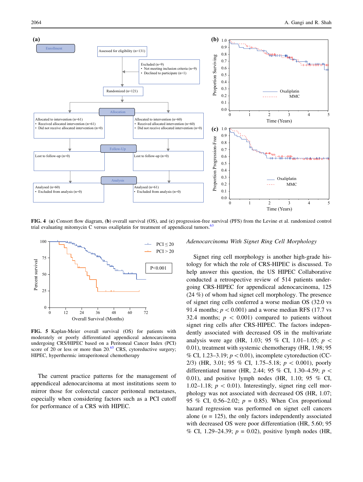<span id="page-9-0"></span>

FIG. 4 (a) Consort flow diagram, (b) overall survival (OS), and (c) progression-free survival (PFS) from the Levine et al. randomized control trial evaluating mitomycin C versus oxaliplatin for treatment of appendiceal tumors.<sup>[63](#page-12-0)</sup>



FIG. 5 Kaplan-Meier overall survival (OS) for patients with moderately or poorly differentiated appendiceal adenocarcinoma undergoing CRS/HIPEC based on a Peritoneal Cancer Index (PCI) score of 20 or less or more than  $20^{65}$  $20^{65}$  $20^{65}$  CRS, cytoreductive surgery; HIPEC, hyperthermic intraperitoneal chemotherapy

The current practice patterns for the management of appendiceal adenocarcinoma at most institutions seem to mirror those for colorectal cancer peritoneal metastases, especially when considering factors such as a PCI cutoff for performance of a CRS with HIPEC.

#### Adenocarcinoma With Signet Ring Cell Morphology

Signet ring cell morphology is another high-grade histology for which the role of CRS-HIPEC is discussed. To help answer this question, the US HIPEC Collaborative conducted a retrospective review of 514 patients undergoing CRS-HIPEC for appendiceal adenocarcinoma, 125 (24 %) of whom had signet cell morphology. The presence of signet ring cells conferred a worse median OS (32.0 vs 91.4 months;  $p < 0.001$ ) and a worse median RFS (17.7 vs 32.4 months;  $p \, < 0.001$ ) compared to patients without signet ring cells after CRS-HIPEC. The factors independently associated with decreased OS in the multivariate analysis were age (HR, 1.03; 95 % CI, 1.01–1.05;  $p \lt \sqrt{ }$ 0.01), treatment with systemic chemotherapy (HR, 1.98; 95 % CI, 1.23–3.19;  $p < 0.01$ ), incomplete cytoreduction (CC-2/3) (HR, 3.01; 95 % CI, 1.75–5.18;  $p < 0.001$ ), poorly differentiated tumor (HR, 2.44; 95 % CI, 1.30–4.59;  $p \lt \theta$ 0.01), and positive lymph nodes (HR, 1.10; 95 % CI, 1.02–1.18;  $p \, < 0.01$ ). Interestingly, signet ring cell morphology was not associated with decreased OS (HR, 1.07; 95 % CI, 0.56–2.02;  $p = 0.85$ ). When Cox proportional hazard regression was performed on signet cell cancers alone  $(n = 125)$ , the only factors independently associated with decreased OS were poor differentiation (HR, 5.60; 95 % CI, 1.29–24.39;  $p = 0.02$ ), positive lymph nodes (HR,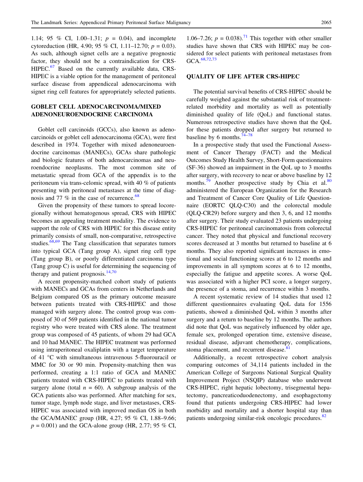1.14; 95 % CI, 1.00–1.31;  $p = 0.04$ ), and incomplete cytoreduction (HR, 4.90; 95 % CI, 1.11–12.70;  $p = 0.03$ ). As such, although signet cells are a negative prognostic factor, they should not be a contraindication for CRS-HIPEC.<sup>[67](#page-13-0)</sup> Based on the currently available data, CRS-HIPEC is a viable option for the management of peritoneal surface disease from appendiceal adenocarcinoma with signet ring cell features for appropriately selected patients.

# GOBLET CELL ADENOCARCINOMA/MIXED ADENONEUROENDOCRINE CARCINOMA

Goblet cell carcinoids (GCCs), also known as adenocarcinoids or goblet cell adenocarcinoma (GCA), were first described in 1974. Together with mixed adenoneuroendocrine carcinomas (MANECs), GCAs share pathologic and biologic features of both adenocarcinomas and neuroendocrine neoplasms. The most common site of metastatic spread from GCA of the appendix is to the peritoneum via trans-celomic spread, with 40 % of patients presenting with peritoneal metastases at the time of diagnosis and 77  $\%$  in the case of recurrence.<sup>[68](#page-13-0)</sup>

Given the propensity of these tumors to spread locoregionally without hematogenous spread, CRS with HIPEC becomes an appealing treatment modality. The evidence to support the role of CRS with HIPEC for this disease entity primarily consists of small, non-comparative, retrospective studies. $\frac{68,69}{8}$  $\frac{68,69}{8}$  $\frac{68,69}{8}$  The Tang classification that separates tumors into typical GCA (Tang group A), signet ring cell type (Tang group B), or poorly differentiated carcinoma type (Tang group C) is useful for determining the sequencing of therapy and patient prognosis. $14,70$  $14,70$ 

A recent propensity-matched cohort study of patients with MANECs and GCAs from centers in Netherlands and Belgium compared OS as the primary outcome measure between patients treated with CRS-HIPEC and those managed with surgery alone. The control group was composed of 30 of 569 patients identified in the national tumor registry who were treated with CRS alone. The treatment group was composed of 45 patients, of whom 29 had GCA and 10 had MANEC. The HIPEC treatment was performed using intraperitoneal oxaliplatin with a target temperature of 41 °C with simultaneous intravenous 5-fluorouracil or MMC for 30 or 90 min. Propensity-matching then was performed, creating a 1:1 ratio of GCA and MANEC patients treated with CRS-HIPEC to patients treated with surgery alone (total  $n = 60$ ). A subgroup analysis of the GCA patients also was performed. After matching for sex, tumor stage, lymph node stage, and liver metastases, CRS-HIPEC was associated with improved median OS in both the GCA/MANEC group (HR, 4.27; 95 % CI, 1.88–9.66;  $p = 0.001$ ) and the GCA-alone group (HR, 2.77; 95 % CI,

1.06–7.26;  $p = 0.038$ .<sup>71</sup> This together with other smaller studies have shown that CRS with HIPEC may be considered for select patients with peritoneal metastases from GCA.<sup>[68](#page-13-0),[72,73](#page-13-0)</sup>

#### QUALITY OF LIFE AFTER CRS-HIPEC

The potential survival benefits of CRS-HIPEC should be carefully weighed against the substantial risk of treatmentrelated morbidity and mortality as well as potentially diminished quality of life (QoL) and functional status. Numerous retrospective studies have shown that the QoL for these patients dropped after surgery but returned to baseline by 6 months. $74-78$ 

In a prospective study that used the Functional Assessment of Cancer Therapy (FACT) and the Medical Outcomes Study Health Survey, Short-Form questionnaires (SF-36) showed an impairment in the QoL up to 3 months after surgery, with recovery to near or above baseline by 12 months.<sup>[79](#page-13-0)</sup> Another prospective study by Chia et al.<sup>[80](#page-13-0)</sup> administered the European Organization for the Research and Treatment of Cancer Core Quality of Life Questionnaire (EORTC QLQ-C30) and the colorectal module (QLQ-CR29) before surgery and then 3, 6, and 12 months after surgery. Their study evaluated 23 patients undergoing CRS-HIPEC for peritoneal carcinomatosis from colorectal cancer. They noted that physical and functional recovery scores decreased at 3 months but returned to baseline at 6 months. They also reported significant increases in emotional and social functioning scores at 6 to 12 months and improvements in all symptom scores at 6 to 12 months, especially the fatigue and appetite scores. A worse QoL was associated with a higher PCI score, a longer surgery, the presence of a stoma, and recurrence within 3 months.

A recent systematic review of 14 studies that used 12 different questionnaires evaluating QoL data for 1556 patients, showed a diminished QoL within 3 months after surgery and a return to baseline by 12 months. The authors did note that QoL was negatively influenced by older age, female sex, prolonged operation time, extensive disease, residual disease, adjuvant chemotherapy, complications, stoma placement, and recurrent disease.<sup>[81](#page-13-0)</sup>

Additionally, a recent retrospective cohort analysis comparing outcomes of 34,114 patients included in the American College of Surgeons National Surgical Quality Improvement Project (NSQIP) database who underwent CRS-HIPEC, right hepatic lobectomy, trisegmental hepatectomy, pancreaticoduodenectomy, and esophagectomy found that patients undergoing CRS-HIPEC had lower morbidity and mortality and a shorter hospital stay than patients undergoing similar-risk oncologic procedures.<sup>[82](#page-13-0)</sup>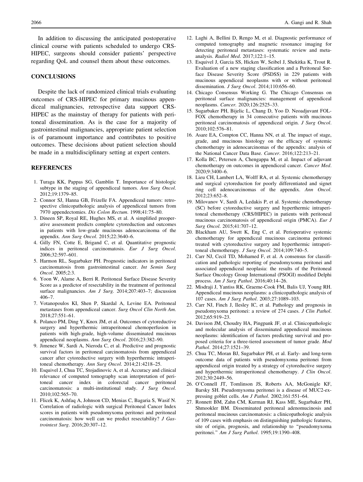<span id="page-11-0"></span>In addition to discussing the anticipated postoperative clinical course with patients scheduled to undergo CRS-HIPEC, surgeons should consider patients' perspective regarding QoL and counsel them about these outcomes.

#### **CONCLUSIONS**

Despite the lack of randomized clinical trials evaluating outcomes of CRS-HIPEC for primary mucinous appendiceal malignancies, retrospective data support CRS-HIPEC as the mainstay of therapy for patients with peritoneal dissemination. As is the case for a majority of gastrointestinal malignancies, appropriate patient selection is of paramount importance and contributes to positive outcomes. These decisions about patient selection should be made in a multidisciplinary setting at expert centers.

#### REFERENCES

- 1. Turaga KK, Pappas SG, Gamblin T. Importance of histologic subtype in the staging of appendiceal tumors. Ann Surg Oncol. 2012;19:1379–85.
- 2. Connor SJ, Hanna GB, Frizelle FA. Appendiceal tumors: retrospective clinicopathologic analysis of appendiceal tumors from 7970 appendectomies. Dis Colon Rectum. 1998;41:75–80.
- 3. Dineen SP, Royal RE, Hughes MS, et al. A simplified preoperative assessment predicts complete cytoreduction and outcomes in patients with low-grade mucinous adenocarcinoma of the appendix. Ann Surg Oncol. 2015;22:3640–6.
- 4. Gilly FN, Cotte E, Brigand C, et al. Quantitative prognostic indices in peritoneal carcinomatosis. Eur J Surg Oncol. 2006;32:597–601.
- 5. Harmon RL, Sugarbaker PH. Prognostic indicators in peritoneal carcinomatosis from gastrointestinal cancer. Int Semin Surg Oncol. 2005;2:3.
- 6. Yoon W, Alame A, Berri R. Peritoneal Surface Disease Severity Score as a predictor of resectability in the treatment of peritoneal surface malignancies. Am J Surg. 2014;207:403–7; discussion 406–7.
- 7. Votanopoulos KI, Shen P, Skardal A, Levine EA. Peritoneal metastases from appendiceal cancer. Surg Oncol Clin North Am. 2018;27:551–61.
- 8. Polanco PM, Ding Y, Knox JM, et al. Outcomes of cytoreductive surgery and hyperthermic intraperitoneal chemoperfusion in patients with high-grade, high-volume disseminated mucinous appendiceal neoplasms. Ann Surg Oncol. 2016;23:382–90.
- 9. Jimenez W, Sardi A, Nieroda C, et al. Predictive and prognostic survival factors in peritoneal carcinomatosis from appendiceal cancer after cytoreductive surgery with hyperthermic intraperitoneal chemotherapy. Ann Surg Oncol. 2014;21:4218–25.
- 10. Esquivel J, Chua TC, Stojadinovic A, et al. Accuracy and clinical relevance of computed tomography scan interpretation of peritoneal cancer index in colorectal cancer peritoneal carcinomatosis: a multi-institutional study. J Surg Oncol. 2010;102:565–70.
- 11. Flicek K, Ashfaq A, Johnson CD, Menias C, Bagaria S, Wasif N. Correlation of radiologic with surgical Peritoneal Cancer Index scores in patients with pseudomyxoma peritonei and peritoneal carcinomatosis: how well can we predict resectability? J Gastrointest Surg. 2016;20:307–12.
- 12. Laghi A, Bellini D, Rengo M, et al. Diagnostic performance of computed tomography and magnetic resonance imaging for detecting peritoneal metastases: systematic review and metaanalysis. Radiol Med. 2017;122:1–15.
- 13. Esquivel J, Garcia SS, Hicken W, Seibel J, Shekitka K, Trout R. Evaluation of a new staging classification and a Peritoneal Surface Disease Severity Score (PSDSS) in 229 patients with mucinous appendiceal neoplasms with or without peritoneal dissemination. J Surg Oncol. 2014;110:656–60.
- 14. Chicago Consensus Working G. The Chicago Consensus on peritoneal surface malignancies: management of appendiceal neoplasms. Cancer. 2020;126:2525–33.
- 15. Sugarbaker PH, Bijelic L, Chang D, Yoo D. Neoadjuvant FOL-FOX chemotherapy in 34 consecutive patients with mucinous peritoneal carcinomatosis of appendiceal origin. J Surg Oncol. 2010;102:576–81.
- 16. Asare EA, Compton CC, Hanna NN, et al. The impact of stage, grade, and mucinous histology on the efficacy of systemic chemotherapy in adenocarcinomas of the appendix: analysis of the National Cancer Data Base. Cancer. 2016;122:213–21.
- 17. Kolla BC, Petersen A, Chengappa M, et al. Impact of adjuvant chemotherapy on outcomes in appendiceal cancer. Cancer Med. 2020;9:3400–6.
- 18. Lieu CH, Lambert LA, Wolff RA, et al. Systemic chemotherapy and surgical cytoreduction for poorly differentiated and signet ring cell adenocarcinomas of the appendix. Ann Oncol. 2012;23:652–8.
- 19. Milovanov V, Sardi A, Ledakis P, et al. Systemic chemotherapy (SC) before cytoreductive surgery and hyperthermic intraperitoneal chemotherapy (CRS/HIPEC) in patients with peritoneal mucinous carcinomatosis of appendiceal origin (PMCA). Eur J Surg Oncol. 2015;41:707–12.
- 20. Blackham AU, Swett K, Eng C, et al. Perioperative systemic chemotherapy for appendiceal mucinous carcinoma peritonei treated with cytoreductive surgery and hyperthermic intraperitoneal chemotherapy. J Surg Oncol. 2014;109:740-5.
- 21. Carr NJ, Cecil TD, Mohamed F, et al. A consensus for classification and pathologic reporting of pseudomyxoma peritonei and associated appendiceal neoplasia: the results of the Peritoneal Surface Oncology Group International (PSOGI) modified Delphi process. Am J Surg Pathol. 2016;40:14–26.
- 22. Misdraji J, Yantiss RK, Graeme-Cook FM, Balis UJ, Young RH. Appendiceal mucinous neoplasms: a clinicopathologic analysis of 107 cases. Am J Surg Pathol. 2003;27:1089–103.
- 23. Carr NJ, Finch J, Ilesley IC, et al. Pathology and prognosis in pseudomyxoma peritonei: a review of 274 cases. J Clin Pathol. 2012;65:919–23.
- 24. Davison JM, Choudry HA, Pingpank JF, et al. Clinicopathologic and molecular analysis of disseminated appendiceal mucinous neoplasms: identification of factors predicting survival and proposed criteria for a three-tiered assessment of tumor grade. Mod Pathol. 2014;27:1521–39.
- 25. Chua TC, Moran BJ, Sugarbaker PH, et al. Early- and long-term outcome data of patients with pseudomyxoma peritonei from appendiceal origin treated by a strategy of cytoreductive surgery and hyperthermic intraperitoneal chemotherapy. J Clin Oncol. 2012;30:2449–56.
- 26. O'Connell JT, Tomlinson JS, Roberts AA, McGonigle KF, Barsky SH. Pseudomyxoma peritonei is a disease of MUC2-expressing goblet cells. Am J Pathol. 2002;161:551–64.
- 27. Ronnett BM, Zahn CM, Kurman RJ, Kass ME, Sugarbaker PH, Shmookler BM. Disseminated peritoneal adenomucinosis and peritoneal mucinous carcinomatosis: a clinicopathologic analysis of 109 cases with emphasis on distinguishing pathologic features, site of origin, prognosis, and relationship to ''pseudomyxoma peritonei.'' Am J Surg Pathol. 1995;19:1390–408.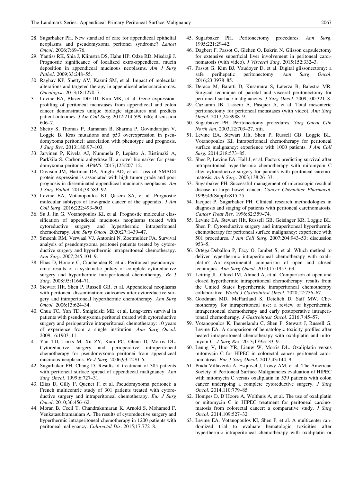- <span id="page-12-0"></span>28. Sugarbaker PH. New standard of care for appendiceal epithelial neoplasms and pseudomyxoma peritonei syndrome? Lancet Oncol. 2006;7:69–76.
- 29. Yantiss RK, Shia J, Klimstra DS, Hahn HP, Odze RD, Misdraji J. Prognostic significance of localized extra-appendiceal mucin deposition in appendiceal mucinous neoplasms. Am J Surg Pathol. 2009;33:248–55.
- 30. Raghav KP, Shetty AV, Kazmi SM, et al. Impact of molecular alterations and targeted therapy in appendiceal adenocarcinomas. Oncologist. 2013;18:1270–7.
- 31. Levine EA, Blazer DG III, Kim MK, et al. Gene expressionprofiling of peritoneal metastases from appendiceal and colon cancer demonstrates unique biologic signatures and predicts patient outcomes. J Am Coll Surg. 2012;214:599–606; discussion 606–7.
- 32. Shetty S, Thomas P, Ramanan B, Sharma P, Govindarajan V, Loggie B. Kras mutations and p53 overexpression in pseudomyxoma peritonei: association with phenotype and prognosis. J Surg Res. 2013;180:97–103.
- 33. Jarvinen P, Kivela AJ, Nummela P, Lepisto A, Ristimaki A, Parkkila S. Carbonic anhydrase II: a novel biomarker for pseudomyxoma peritonei. APMIS. 2017;125:207–12.
- 34. Davison JM, Hartman DA, Singhi AD, et al. Loss of SMAD4 protein expression is associated with high tumor grade and poor prognosis in disseminated appendiceal mucinous neoplasms. Am J Surg Pathol. 2014;38:583–92.
- 35. Levine EA, Votanopoulos KI, Qasem SA, et al. Prognostic molecular subtypes of low-grade cancer of the appendix. J Am Coll Surg. 2016;222:493–503.
- 36. Su J, Jin G, Votanopoulos KI, et al. Prognostic molecular classification of appendiceal mucinous neoplasms treated with cytoreductive surgery and hyperthermic intraperitoneal chemotherapy. Ann Surg Oncol. 2020;27:1439–47.
- 37. Smeenk RM, Verwaal VJ, Antonini N, Zoetmulder FA. Survival analysis of pseudomyxoma peritonei patients treated by cytoreductive surgery and hyperthermic intraperitoneal chemotherapy. Ann Surg. 2007;245:104–9.
- 38. Elias D, Honore C, Ciuchendea R, et al. Peritoneal pseudomyxoma: results of a systematic policy of complete cytoreductive surgery and hyperthermic intraperitoneal chemotherapy. Br J Surg. 2008;95:1164–71.
- 39. Stewart JHt, Shen P, Russell GB, et al. Appendiceal neoplasms with peritoneal dissemination: outcomes after cytoreductive surgery and intraperitoneal hyperthermic chemotherapy. Ann Surg Oncol. 2006;13:624–34.
- 40. Chua TC, Yan TD, Smigielski ME, et al. Long-term survival in patients with pseudomyxoma peritonei treated with cytoreductive surgery and perioperative intraperitoneal chemotherapy: 10 years of experience from a single institution. Ann Surg Oncol. 2009;16:1903–11.
- 41. Yan TD, Links M, Xu ZY, Kam PC, Glenn D, Morris DL. Cytoreductive surgery and perioperative intraperitoneal chemotherapy for pseudomyxoma peritonei from appendiceal mucinous neoplasms. Br J Surg. 2006;93:1270–6.
- 42. Sugarbaker PH, Chang D. Results of treatment of 385 patients with peritoneal surface spread of appendiceal malignancy. Ann Surg Oncol. 1999;6:727–31.
- 43. Elias D, Gilly F, Quenet F, et al. Pseudomyxoma peritonei: a French multicentric study of 301 patients treated with cytoreductive surgery and intraperitoneal chemotherapy. Eur J Surg Oncol. 2010;36:456–62.
- 44. Moran B, Cecil T, Chandrakumaran K, Arnold S, Mohamed F, Venkatasubramaniam A. The results of cytoreductive surgery and hyperthermic intraperitoneal chemotherapy in 1200 patients with peritoneal malignancy. Colorectal Dis. 2015;17:772–8.
- 45. Sugarbaker PH. Peritonectomy procedures. Ann Surg. 1995;221:29–42.
- 46. Dagbert F, Passot G, Glehen O, Bakrin N. Glisson capsulectomy for extensive superficial liver involvement in peritoneal carcinomatosis (with video). J Visceral Surg. 2015;152:332–3.
- 47. Passot G, Kim BJ, Vaudoyer D, et al. Digital glissonectomy: a safe perihepatic peritonectomy. Ann Surg Oncol. safe perihepatic peritonectomy. Ann Surg Oncol. 2016;23:3978–85.
- 48. Deraco M, Baratti D, Kusamura S, Laterza B, Balestra MR. Surgical technique of parietal and visceral peritonectomy for peritoneal surface malignancies. J Surg Oncol. 2009;100:321-8.
- 49. Cazauran JB, Lasseur A, Pasquer A, et al. Total mesenteric peritonectomy for peritoneal metastases (with video). Ann Surg Oncol. 2017;24:3988–9.
- 50. Sugarbaker PH. Peritonectomy procedures. Surg Oncol Clin North Am. 2003;12:703–27, xiii.
- 51. Levine EA, Stewart JHt, Shen P, Russell GB, Loggie BL, Votanopoulos KI. Intraperitoneal chemotherapy for peritoneal surface malignancy: experience with 1000 patients. *J Am Coll* Surg. 2014;218:573–85.
- 52. Shen P, Levine EA, Hall J, et al. Factors predicting survival after intraperitoneal hyperthermic chemotherapy with mitomycin C after cytoreductive surgery for patients with peritoneal carcinomatosis. Arch Surg. 2003;138:26–33.
- 53. Sugarbaker PH. Successful management of microscopic residual disease in large bowel cancer. Cancer Chemother Pharmacol. 1999;43(Suppl):S15-25.
- 54. Jacquet P, Sugarbaker PH. Clinical research methodologies in diagnosis and staging of patients with peritoneal carcinomatosis. Cancer Treat Res. 1996;82:359–74.
- 55. Levine EA, Stewart JHt, Russell GB, Geisinger KR, Loggie BL, Shen P. Cytoreductive surgery and intraperitoneal hyperthermic chemotherapy for peritoneal surface malignancy: experience with 501 procedures. J Am Coll Surg. 2007;204:943–53; discussion 953–5.
- 56. Ortega-Deballon P, Facy O, Jambet S, et al. Which method to deliver hyperthermic intraperitoneal chemotherapy with oxaliplatin? An experimental comparison of open and closed techniques. Ann Surg Oncol. 2010;17:1957–63.
- 57. Leiting JL, Cloyd JM, Ahmed A, et al. Comparison of open and closed hyperthermic intraperitoneal chemotherapy: results from the United States hyperthermic intraperitoneal chemotherapy collaborative. World J Gastrointest Oncol. 2020;12:756–67.
- 58. Goodman MD, McPartland S, Detelich D, Saif MW. Chemotherapy for intraperitoneal use: a review of hyperthermic intraperitoneal chemotherapy and early postoperative intraperitoneal chemotherapy. J Gastrointest Oncol. 2016;7:45–57.
- 59. Votanopoulos K, Ihemelandu C, Shen P, Stewart J, Russell G, Levine EA. A comparison of hematologic toxicity profiles after heated intraperitoneal chemotherapy with oxaliplatin and mitomycin C. J Surg Res. 2013;179:e133–9.
- 60. Leung V, Huo YR, Liauw W, Morris DL. Oxaliplatin versus mitomycin C for HIPEC in colorectal cancer peritoneal carcinomatosis. Eur J Surg Oncol. 2017;43:144–9.
- 61. Prada-Villaverde A, Esquivel J, Lowy AM, et al. The American Society of Peritoneal Surface Malignancies evaluation of HIPEC with mitomycin C versus oxaliplatin in 539 patients with colon cancer undergoing a complete cytoreductive surgery. J Surg Oncol. 2014;110:779–85.
- 62. Hompes D, D'Hoore A, Wolthuis A, et al. The use of oxaliplatin or mitomycin C in HIPEC treatment for peritoneal carcinomatosis from colorectal cancer: a comparative study. J Surg Oncol. 2014;109:527–32.
- 63. Levine EA, Votanopoulos KI, Shen P, et al. A multicenter randomized trial to evaluate hematologic toxicities after hyperthermic intraperitoneal chemotherapy with oxaliplatin or